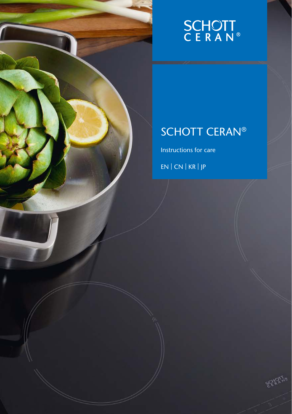# **SCHOTT**<br>CERAN®

### SCHOTT CERAN®

EEA2179

Instructions for care

EN | CN | KR | JP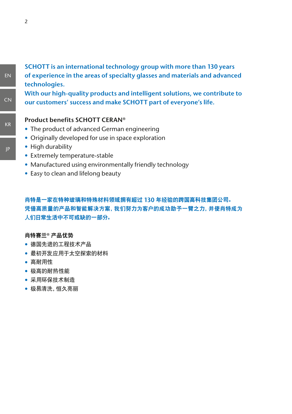#### **SCHOTT is an international technology group with more than 130 years of experience in the areas of specialty glasses and materials and advanced technologies.**

**With our high-quality products and intelligent solutions, we contribute to our customers' success and make SCHOTT part of everyone's life.**

#### **Product benefits SCHOTT CERAN®**

- The product of advanced German engineering
- Originally developed for use in space exploration
- High durability
- Extremely temperature-stable
- Manufactured using environmentally friendly technology
- Easy to clean and lifelong beauty

#### 肖特是一家在特种玻璃和特殊材料领域拥有超过 **130** 年经验的跨国高科技集团公司。 凭借高质量的产品和智能解决方案,我们努力为客户的成功助予一臂之力,并使肖特成为 人们日常生活中不可或缺的一部分。

#### 肖特赛兰**®** 产品优势

- 德国先进的工程技术产品
- 最初开发应用于太空探索的材料
- 高耐用性
- 极高的耐热性能
- 采用环保技术制造
- 极易清洗,恒久亮丽

EN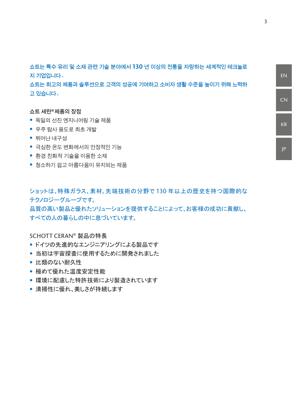**쇼트는 특수 유리 및 소재 관련 기술 분야에서 130 년 이상의 전통을 자랑하는 세계적인 테크놀로 지 기업입니다 .** 

**쇼트는 최고의 제품과 솔루션으로 고객의 성공에 기여하고 소비자 생활 수준을 높이기 위해 노력하 고 있습니다 .**

#### **쇼트 세란®제품의 장점**

- 독일의 선진 엔지니어링 기술 제품
- 우주 탐사 용도로 최초 개발
- 뛰어난 내구성
- 극심한 온도 변화에서의 안정적인 기능
- 환경 친화적 기술을 이용한 소재
- 청소하기 쉽고 아름다움이 유지되는 제품

ショットは、特殊ガラス、素材、先端技術の分野で 130 年以上の歴史を持つ国際的な テクノロジーグループです。

品質の高い製品と優れたソリューションを提供することによって、お客様の成功に貢献し、 すべての人の暮らしの中に息づいています。

#### SCHOTT CERAN® 製品の特長

- ドイツの先進的なエンジニアリングによる製品です
- 当初は宇宙探査に使用するために開発されました
- 比類のない耐久性
- 極めて優れた温度安定性能
- 環境に配慮した特許技術により製造されています
- 清掃性に優れ、美しさが持続します

JP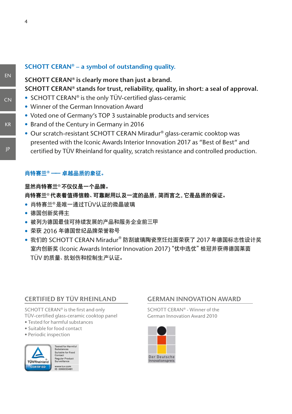#### **SCHOTT CERAN® – a symbol of outstanding quality.**

### **SCHOTT CERAN® is clearly more than just a brand. SCHOTT CERAN® stands for trust, reliability, quality, in short: a seal of approval.**

- SCHOTT CERAN<sup>®</sup> is the only TÜV-certified glass-ceramic
- Winner of the German Innovation Award
- Voted one of Germany's TOP 3 sustainable products and services
- Brand of the Century in Germany in 2016
- Our scratch-resistant SCHOTT CERAN Miradur® glass-ceramic cooktop was presented with the Iconic Awards Interior Innovation 2017 as "Best of Best" and certified by TÜV Rheinland for quality, scratch resistance and controlled production.

#### 肖特赛兰 **®** —— 卓越品质的象征。

#### 显然肖特赛兰®不仅仅是一个品牌。

#### 肖特赛兰®代表着值得信赖、可靠耐用以及一流的品质,简而言之,它是品质的保证。

- 肖特赛兰®是唯一通过TÜV认证的微晶玻璃
- 德国创新奖得主
- 被列为德国最佳可持续发展的产品和服务企业前三甲
- 荣获 2016 年德国世纪品牌荣誉称号
- 我们的 SCHOTT CERAN Miradur® 防刮玻璃陶瓷烹饪灶面荣获了 2017 年德国标志性设计奖 室内创新奖 (Iconic Awards Interior Innovation 2017)"优中选优"桂冠并获得德国莱茵 TÜV 的质量、抗划伤和控制生产认证。

#### **CERTIFIED BY TÜV RHEINLAND**

SCHOTT CERAN® is the first and only TÜV-certified glass-ceramic cooktop panel

- **Tested for harmful substances**
- $\bullet$  Suitable for food contact
- $\bullet$  Periodic inspection



**Tested for Harmful** Substances<br>Suitable for Food<br>Contact Regular Product<br>Surveillance www.tuv.com<br>ID 0000033481

#### **GERMAN INNOVATION AWARD GERMAN INNOVATION AWARD**

SCHOTT CERAN® - Winner of the SCHOTT CERAN® - Winner of the German Innovation Award 2010 German Innovation Award 2010



EN

JP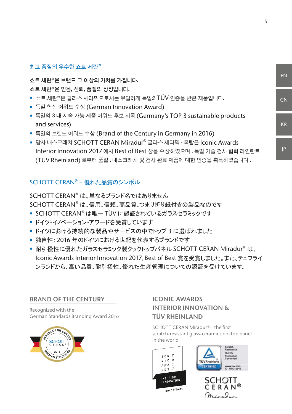#### **최고 품질의 우수한 쇼트 세란®**

**쇼트 세란®은 브랜드 그 이상의 가치를 가집니다. 쇼트 세란®은 믿음, 신뢰, 품질의 상징입니다.**

- 쇼트 세란®은 글라스 세라믹으로서는 유일하게 독일의TÜV 인증을 받은 제품입니다.
- 독일 혁신 어워드 수상 (German Innovation Award)
- 독일의 3 대 지속 가능 제품 어워드 후보 지목 (Germany's TOP 3 sustainable products and services)
- 독일의 브랜드 어워드 수상 (Brand of the Century in Germany in 2016)
- 당사 내스크래치 SCHOTT CERAN Miradur® 글라스 세라믹 쿡탑은 Iconic Awards Interior Innovation 2017 에서 Best of Best 상을 수상하였으며 , 독일 기술 검사 협회 라인란트 (TÜV Rheinland) 로부터 품질 , 내스크래치 및 검사 완료 제품에 대한 인증을 획득하였습니다 .

#### SCHOTT CERAN® – 優れた品質のシンボル

SCHOTT CERAN® は、単なるブランド名ではありません SCHOTT CERAN® は、信用、信頼、高品質、つまり折り紙付きの製品なのです

- SCHOTT CERAN® は唯一 TÜV に認証されているガラスセラミックです
- ドイツ・イノベーション・アワードを受賞しています
- ドイツにおける持続的な製品やサービスの中でトップ 3 に選ばれました
- 独自性: 2016 年のドイツにおける世紀を代表するブランドです
- 耐引掻性に優れたガラスセラミック製クックトップパネル SCHOTT CERAN Miradur® は、 Iconic Awards Interior Innovation 2017、Best of Best 賞を受賞しました。また、テュフライ ンランドから、高い品質、耐引掻性、優れた生産管理についての認証を受けています。

#### **BRAND OF THE CENTURY**

Recognized with the German Standards Branding Award 2016



#### **ICONIC AWARDS INTERIOR INNOVATION & TÜV RHEINLAND**

SCHOTT CERAN Miradur® – the first scratch-resistant glass-ceramic cooktop panel in the world



JP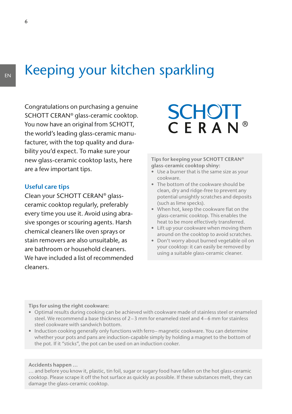### EN Keeping your kitchen sparkling

Congratulations on purchasing a genuine SCHOTT CERAN® glass-ceramic cooktop. You now have an original from SCHOTT, the world's leading glass-ceramic manufacturer, with the top quality and durability you'd expect. To make sure your new glass-ceramic cooktop lasts, here are a few important tips.

#### **Useful care tips**

Clean your SCHOTT CERAN® glassceramic cooktop regularly, preferably every time you use it. Avoid using abrasive sponges or scouring agents. Harsh chemical cleaners like oven sprays or stain removers are also unsuitable, as are bathroom or household cleaners. We have included a list of recommended cleaners.

## **SCHOTT** CERAN®

#### **Tips for keeping your SCHOTT CERAN® glass-ceramic cooktop shiny:**

- Use a burner that is the same size as your cookware.
- The bottom of the cookware should be clean, dry and ridge-free to prevent any potential unsightly scratches and deposits (such as lime specks).
- When hot, keep the cookware flat on the glass-ceramic cooktop. This enables the heat to be more effectively transferred.
- Lift up your cookware when moving them around on the cooktop to avoid scratches.
- Don't worry about burned vegetable oil on your cooktop: it can easily be removed by using a suitable glass-ceramic cleaner.

**Tips for using the right cookware:**

- Optimal results during cooking can be achieved with cookware made of stainless steel or enameled steel. We recommend a base thickness of  $2-3$  mm for enameled steel and  $4-6$  mm for stainless steel cookware with sandwich bottom.
- Induction cooking generally only functions with ferro– magnetic cookware. You can determine whether your pots and pans are induction-capable simply by holding a magnet to the bottom of the pot. If it "sticks", the pot can be used on an induction cooker.

#### **Accidents happen …**

… and before you know it, plastic, tin foil, sugar or sugary food have fallen on the hot glass-ceramic cooktop. Please scrape it off the hot surface as quickly as possible. If these substances melt, they can damage the glass-ceramic cooktop.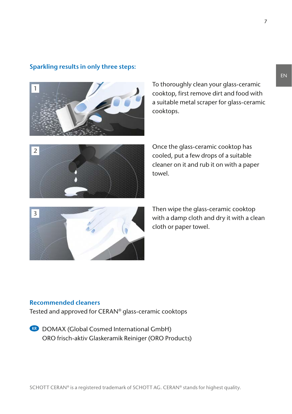

#### **Sparkling results in only three steps:**

To thoroughly clean your glass-ceramic cooktop, first remove dirt and food with a suitable metal scraper for glass-ceramic cooktops.



Once the glass-ceramic cooktop has cooled, put a few drops of a suitable cleaner on it and rub it on with a paper towel.



Then wipe the glass-ceramic cooktop with a damp cloth and dry it with a clean cloth or paper towel.

#### **Recommended cleaners**

Tested and approved for CERAN® glass-ceramic cooktops

**KR** DOMAX (Global Cosmed International GmbH) ORO frisch-aktiv Glaskeramik Reiniger (ORO Products)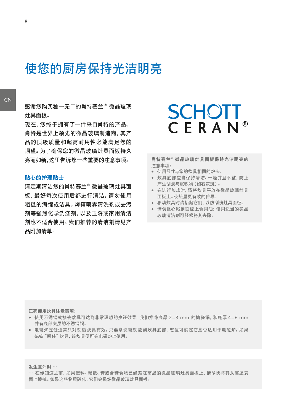### 使您的厨房保持光洁明亮

感谢您购买独一无二的肖特赛兰® 微晶玻璃 灶具面板。

现在,您终于拥有了一件来自肖特的产品。 肖特是世界上领先的微晶玻璃制造商,其产 品的顶级质量和超高耐用性必能满足您的 期望。为了确保您的微晶玻璃灶具面板持久 亮丽如新,这里告诉您一些重要的注意事项。

#### 贴心的护理贴士

请定期清洁您的肖特赛兰® 微晶玻璃灶具面 板,最好每次使用后都进行清洁。请勿使用 粗糙的海绵或洁具。烤箱喷雾清洗剂或去污 剂等强烈化学洗涤剂,以及卫浴或家用清洁 剂也不适合使用。我们推荐的清洁剂请见产 品附加清单。

### **SCHOTT** CERAN®

#### 肖特赛兰**®** 微晶玻璃灶具面板保持光洁明亮的 注意事项:

- 使用尺寸与您的炊具相同的炉头。
- 炊具底部应当保持清洁、干燥并且平整,防止 产生刮痕与沉积物(如石灰斑)。
- 在进行加热时,请将炊具平放在微晶玻璃灶具 面板上。使热量更有效的传导。
- 移动炊具时请抬起它们,以防刮伤灶具面板。
- 请勿担心溅到面板上食用油:使用适当的微晶 玻璃清洁剂可轻松将其去除。

正确使用炊具注意事项:

- 使用不锈钢或搪瓷炊具可达到非常理想的烹饪效果。我们推荐底厚 2–3 mm 的搪瓷锅,和底厚 4–6 mm 并有底部夹层的不锈钢锅。
- 电磁炉烹饪通常只对铁磁炊具有效。只要拿块磁铁放到炊具底部,您便可确定它是否适用于电磁炉。如果 磁铁"吸住"炊具,该炊具便可在电磁炉上使用。

发生意外时 …

… 在你知道之前,如果塑料、锡纸、糖或含糖食物已经落在高温的微晶玻璃灶具面板上,请尽快将其从高温表 面上擦掉。如果这些物质融化,它们会损坏微晶玻璃灶具面板。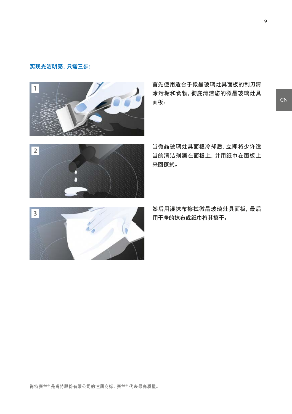#### 实现光洁明亮,只需三步:



首先使用适合于微晶玻璃灶具面板的刮刀清 除污垢和食物,彻底清洁您的微晶玻璃灶具 面板。



当微晶玻璃灶具面板冷却后,立即将少许适 当的清洁剂滴在面板上,并用纸巾在面板上 来回擦拭。



然后用湿抹布擦拭微晶玻璃灶具面板,最后 用干净的抹布或纸巾将其擦干。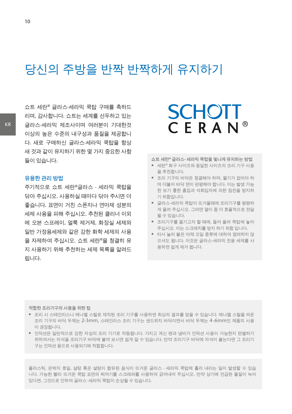### 당신의 주방을 반짝 반짝하게 유지하기

쇼트 세란® 글라스-세라믹 쿡탑 구매를 축하드 리며, 감사합니다. 쇼트는 세계를 선두하고 있는 글라스-세라믹 제조사이며 여러분이 기대한것 이상의 높은 수준의 내구성과 품질을 제공합니 다. 새로 구매하신 글라스-세라믹 쿡탑을 항상 새 것과 같이 유지하기 위한 몇 가지 중요한 사항 들이 있습니다.

#### **유용한 관리 방법**

주기적으로 쇼트 세란®글라스 - 세라믹 쿡탑을 닦아 주십시오. 사용하실 때마다 닦아 주시면 더 좋습니다. 표면이 거친 스폰지나 연마제 성분의 세제 사용을 피해 주십시오. 추천된 클리너 이외 에 오븐 스프레이, 얼룩 제거제, 화장실 세제와 일반 가정용세제와 같은 강한 화학 세제의 사용 을 자제하여 주십시오. 쇼트 세란®을 청결히 유 지 사용하기 위해 추천하는 세제 목록을 알려드 립니다.

### **SCHOTT** CERAN®

**쇼트 세란® 글라스- 세라믹 쿡탑을 빛나게 유지하는 방법**

- 세란® 화구 사이즈와 동일한 사이즈의 조리 기구 사용 을 추천합니다.
- 조리 기구의 바닥은 청결해야 하며, 물기가 없어야 하 며 더불어 바닥 면이 편평해야 합니다. 이는 발생 가능 한 보기 흉한 흠집과 석회입자에 의한 침전을 방지하 기 위함입니다.
- 글라스-세라믹 쿡탑이 뜨거울때에 조리기구를 평평하 게 올려 주십시오. 그러면 열이 좀 더 효율적으로 전달 될 수 있습니다.
- 조리기구를 옮기고자 할 때에, 들어 올려 쿡탑에 놓아 주십시오. 이는 스크래치를 방지 하기 위함 입니다.
- 타서 눌러 붙은 야채 오일 종류에 대하여 염려하지 않 으셔도 됩니다. 이것은 글라스-세라믹 전용 세제를 사 용하면 쉽게 제거 됩니다.

**적합한 조리기구의 사용을 위한 팁**

- 조리 시 스테인리스나 에나멜 스틸로 제작된 조리 기구를 사용하면 최상의 결과를 얻을 수 있습니다. 에나멜 스틸을 씌운 조리 기구의 바닥 두께는 2-3mm, 스테인리스 조리 기구는 샌드위치 바닥이면서 바닥 두께는 4-6mm인 제품의 사용 이 권장됩니다.
- 인덕션은 일반적으로 강한 자성의 조리 기기로 작동됩니다. 가지고 계신 팬과 냄비가 인덕션 사용이 가능한지 판별하기 위하여서는 자석을 조리기구 바닥에 붙여 보시면 쉽게 알 수 있습니다. 만약 조리기구 바닥에 자석이 붙는다면 그 조리기 구는 인덕션 용으로 사용되기에 적합합니다.

플라스틱, 은박지 호일, 설탕 혹은 설탕이 함유된 음식이 뜨거운 글라스 - 세라믹 쿡탑에 흘러 내리는 일이 발생할 수 있습 니다. 가능한 빨리 뜨거운 쿡탑 표면의 찌꺼기를 스크래퍼를 사용하여 긁어내어 주십시오. 만약 상기에 언급된 물질이 녹아 있다면, 그것으로 인하여 글라스 -세라믹 쿡탑이 손상될 수 있습니다.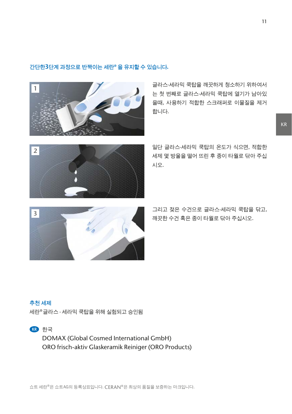#### **간단한3단계 과정으로 반짝이는 세란® 을 유지할 수 있습니다.**



글라스-세라믹 쿡탑을 깨끗하게 청소하기 위하여서 는 첫 번째로 글라스-세라믹 쿡탑에 열기가 남아있 을때, 사용하기 적합한 스크래퍼로 이물질을 제거 합니다.



일단 글라스-세라믹 쿡탑의 온도가 식으면, 적합한 세제 몇 방울을 떨어 뜨린 후 종이 타월로 닦아 주십 시오.



그리고 젖은 수건으로 글라스-세라믹 쿡탑을 닦고, 깨끗한 수건 혹은 종이 타월로 닦아 주십시오.

#### **추천 세제**

세란®글라스 - 세라믹 쿡탑을 위해 실험되고 승인됨



DOMAX (Global Cosmed International GmbH) ORO frisch-aktiv Glaskeramik Reiniger (ORO Products)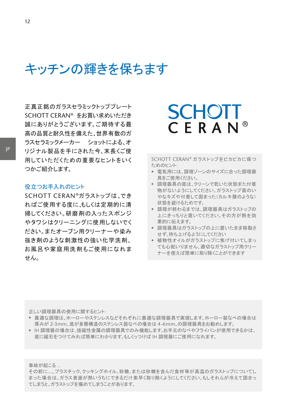キッチンの輝きを保ちます

正真正銘のガラスセラミックトッププレート SCHOTT CERAN® をお買い求めいただき 誠にありがとうございます。ご期待する最 高の品質と耐久性を備えた、世界有数のガ ラスセラミックメーカー ショットによる、オ リジナル製品を手にされた今、末長くご使 用していただくための重要なヒントをいく つかご紹介します。

#### 役立つお手入れのヒント

SCHOTT CERAN®ガラストップは、でき ればご使用する度に、もしくは定期的に清 掃してください。研磨剤の入ったスポンジ やタワシはクリーニングに使用しないでく ださい。またオーブン用クリーナーや染み 抜き剤のような刺激性の強い化学洗剤、 お風呂や家庭用洗剤もご使用になれま せん。

### **SCHOTT** CERAN®

SCHOTT CERAN® ガラストップをピカピカに保つ ためのヒント:

- 電気用には、調理ゾーンのサイズに合った調理器 具をご使用ください。
- 調理器具の底は、クリーンで乾いた状態また付着 物がないようにしてください。ガラストップ面のい やなキズや付着して固まった(カルキ層のような) 状態を避けるためです。
- 調理が終わるまでは、調理器具はガラストップの 上にきっちりと置いてください。その方が熱を効 果的に伝えます。
- 調理器具はガラストップの上に置いたまま移動さ せず、持ち上げるようにしてください
- 植物性オイルがガラストップに焦げ付いてしまっ ても心配いりません、適切なガラストップ用クリー ナーを使えば簡単に取り除くことができます

正しい調理器具の使用に関するヒント:

- 最適な調理は、ホーローやステンレスなどそれぞれに最適な調理器具で実現します。ホーロー製なべの場合は 厚みが 2-3mm、底が多層構造のステンレス製なべの場合は 4-6mm、の調理器具をお勧めします。
- IH 調理器の場合は、強磁性金属の調理器具でのみ機能します。お手元のなべやフライパンが使用できるかは、 底に磁石をつけてみれば簡単にわかります。もしくっつけば IH 調理器にご使用になれます。

事故が起こる...

その前に…、プラスチック、クッキングホイル、砂糖、または砂糖を含んだ食材等が高温のガラストップについてし まった場合は、ガラス表面が熱いうちにできるだけ素早く取り除くようにしてください。もしそれらが冷えて固まっ てしまうと、ガラストップを傷めてしまうことがあります。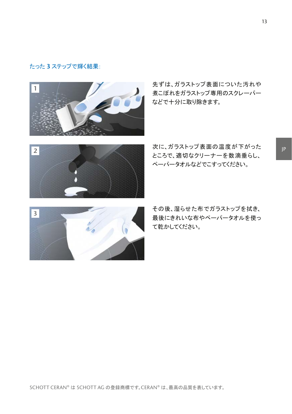#### たった **3** ステップで輝く結果:



先ずは、ガラストップ表面についた汚れや 煮こぼれをガラストップ専用のスクレーパー などで十分に取り除きます。



次に、ガラストップ表面の温度が下がった ところで、適切なクリーナーを数滴垂らし、 ペーパータオルなどでこすってください。



その後、湿らせた布でガラストップを拭き、 最後にきれいな布やペーパータオルを使っ て乾かしてください。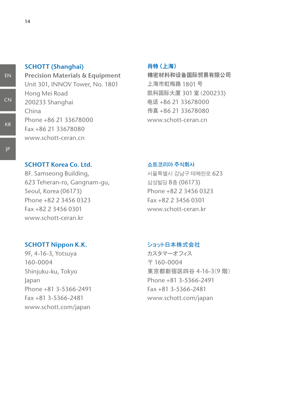#### **SCHOTT (Shanghai)**

**Precision Materials & Equipment** Unit 301, INNOV Tower, No. 1801 Hong Mei Road 200233 Shanghai China Phone +86 21 33678000 Fax +86 21 33678080 www.schott-ceran.cn

#### 肖特(上海)

精密材料和设备国际贸易有限公司 上海市虹梅路 1801号 凯科国际大厦 301 室 (200233) 电话 +86 21 33678000 传真 +86 21 33678080 www.schott-ceran.cn

#### **SCHOTT Korea Co. Ltd.**

8F. Samseong Building, 623 Teheran-ro, Gangnam-gu, Seoul, Korea (06173) Phone +82 2 3456 0323 Fax +82 2 3456 0301 www.schott-ceran.kr

#### **SCHOTT Nippon K.K.**

9F, 4-16-3, Yotsuya 160-0004 Shinjuku-ku, Tokyo Japan Phone +81 3-5366-2491 Fax +81 3-5366-2481 www.schott.com/japan

#### **쇼트코리아 주식회사**

서울특별시 강남구 테헤란로 623 삼성빌딩 8층 (06173) Phone +82 2 3456 0323 Fax +82 2 3456 0301 www.schott-ceran.kr

#### ショット日本株式会社

カスタマーオフィス  $= 160 - 0004$ 東京都新宿区四谷 4-16-3(9 階) Phone +81 3-5366-2491 Fax +81 3-5366-2481 www.schott.com/japan

EN